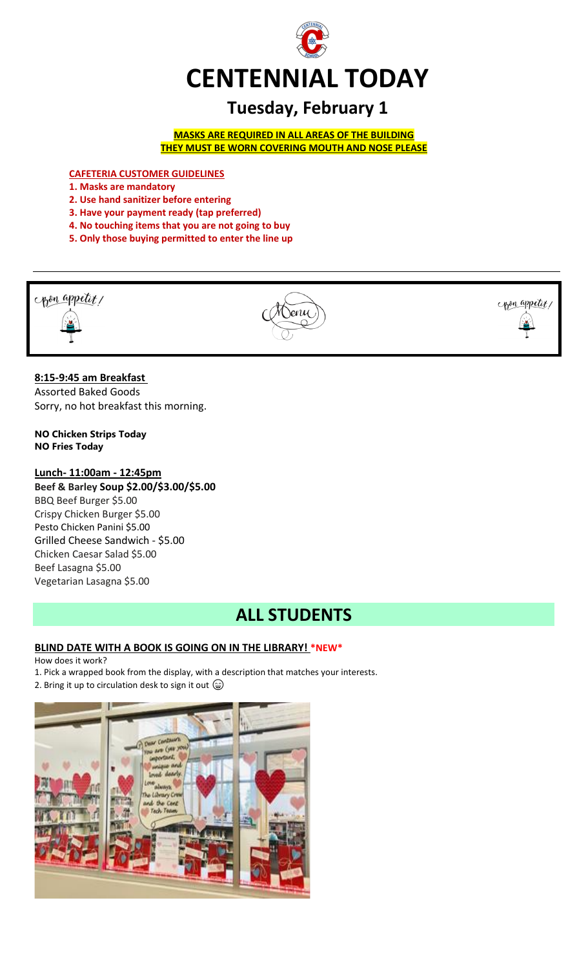

# **Tuesday, February 1**

**MASKS ARE REQUIRED IN ALL AREAS OF THE BUILDING THEY MUST BE WORN COVERING MOUTH AND NOSE PLEASE**

**CAFETERIA CUSTOMER GUIDELINES**

- **1. Masks are mandatory**
- **2. Use hand sanitizer before entering**
- **3. Have your payment ready (tap preferred)**
- **4. No touching items that you are not going to buy**
- **5. Only those buying permitted to enter the line up**



# **8:15-9:45 am Breakfast**

Assorted Baked Goods Sorry, no hot breakfast this morning.

**NO Chicken Strips Today NO Fries Today**

# **Lunch- 11:00am - 12:45pm**

**Beef & Barley Soup \$2.00/\$3.00/\$5.00** BBQ Beef Burger \$5.00 Crispy Chicken Burger \$5.00 Pesto Chicken Panini \$5.00 Grilled Cheese Sandwich - \$5.00 Chicken Caesar Salad \$5.00 Beef Lasagna \$5.00 Vegetarian Lasagna \$5.00

# **ALL STUDENTS**

# **BLIND DATE WITH A BOOK IS GOING ON IN THE LIBRARY! \*NEW\***

# How does it work?

1. Pick a wrapped book from the display, with a description that matches your interests.

2. Bring it up to circulation desk to sign it out  $\circledcirc$ 

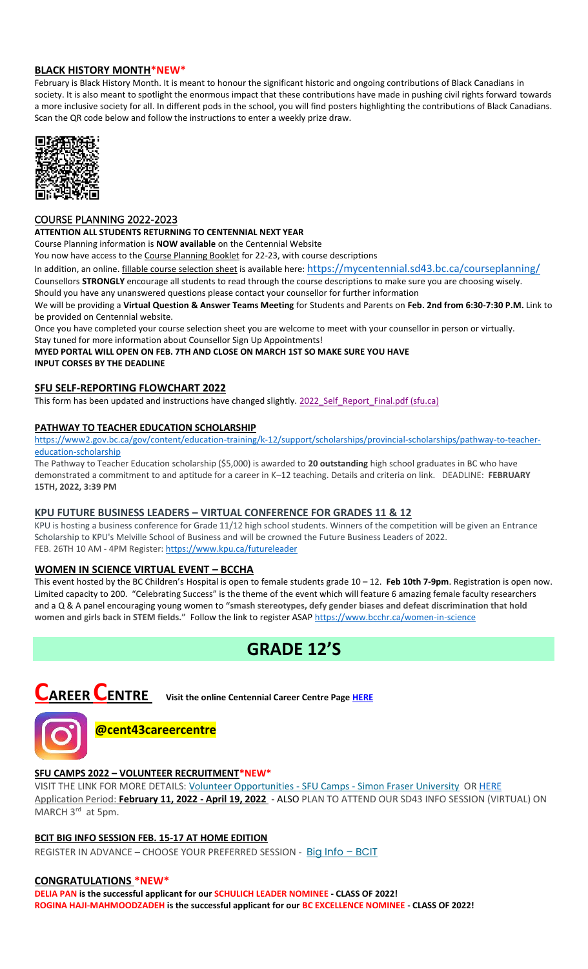# **BLACK HISTORY MONTH\*NEW\***

February is Black History Month. It is meant to honour the significant historic and ongoing contributions of Black Canadians in society. It is also meant to spotlight the enormous impact that these contributions have made in pushing civil rights forward towards a more inclusive society for all. In different pods in the school, you will find posters highlighting the contributions of Black Canadians. Scan the QR code below and follow the instructions to enter a weekly prize draw.



## COURSE PLANNING 2022-2023

#### **ATTENTION ALL STUDENTS RETURNING TO CENTENNIAL NEXT YEAR**

Course Planning information is **NOW available** on the Centennial Website

You now have access to the Course Planning Booklet for 22-23, with course descriptions

In addition, an online. *fillable course selection sheet* is available here: <https://mycentennial.sd43.bc.ca/courseplanning/>

Counsellors **STRONGLY** encourage all students to read through the course descriptions to make sure you are choosing wisely. Should you have any unanswered questions please contact your counsellor for further information

We will be providing a **Virtual Question & Answer Teams Meeting** for Students and Parents on **Feb. 2nd from 6:30-7:30 P.M.** Link to be provided on Centennial website.

Once you have completed your course selection sheet you are welcome to meet with your counsellor in person or virtually.

Stay tuned for more information about Counsellor Sign Up Appointments!

**MYED PORTAL WILL OPEN ON FEB. 7TH AND CLOSE ON MARCH 1ST SO MAKE SURE YOU HAVE INPUT CORSES BY THE DEADLINE** 

# **SFU SELF-REPORTING FLOWCHART 2022**

This form has been updated and instructions have changed slightly[. 2022\\_Self\\_Report\\_Final.pdf \(sfu.ca\)](https://www.sfu.ca/content/dam/sfu/students/admission/pdf/2022_Self_Report_Final.pdf)

## **PATHWAY TO TEACHER EDUCATION SCHOLARSHI[P](file://///d00-v02-p01/Shared_Data/076/Staff_Shared/Office/centennial%20today/Centennial%20Today%202021-2022/January%202022/​https:/www2.gov.bc.ca/gov/content/education-training/k-12/support/scholarships/provincial-scholarships/pathway-to-teacher-education-scholarship)**

[https://www2.gov.bc.ca/gov/content/education-training/k-12/support/scholarships/provincial-scholarships/pathway-to-teacher](file://///d00-v02-p01/Shared_Data/076/Staff_Shared/Office/centennial%20today/Centennial%20Today%202021-2022/January%202022/​https:/www2.gov.bc.ca/gov/content/education-training/k-12/support/scholarships/provincial-scholarships/pathway-to-teacher-education-scholarship)[education-scholarship](file://///d00-v02-p01/Shared_Data/076/Staff_Shared/Office/centennial%20today/Centennial%20Today%202021-2022/January%202022/​https:/www2.gov.bc.ca/gov/content/education-training/k-12/support/scholarships/provincial-scholarships/pathway-to-teacher-education-scholarship)

The Pathway to Teacher Education scholarship (\$5,000) is awarded to **20 outstanding** high school graduates in BC who have demonstrated a commitment to and aptitude for a career in K–12 teaching. Details and criteria on link. DEADLINE: **FEBRUARY 15TH, 2022, 3:39 PM**

#### **KPU FUTURE BUSINESS LEADERS – VIRTUAL CONFERENCE FOR GRADES 11 & 12**

KPU is hosting a business conference for Grade 11/12 high school students. Winners of the competition will be given an Entrance Scholarship to KPU's Melville School of Business and will be crowned the Future Business Leaders of 2022. FEB. 26TH 10 AM - 4PM Register[: https://www.kpu.ca/futureleader](https://www.kpu.ca/futureleader)

# **WOMEN IN SCIENCE VIRTUAL EVENT – BCCHA**

This event hosted by the BC Children's Hospital is open to female students grade 10 – 12. **Feb 10th 7-9pm**. Registration is open now. Limited capacity to 200. "Celebrating Success" is the theme of the event which will feature 6 amazing female faculty researchers and a Q & A panel encouraging young women to **"smash stereotypes, defy gender biases and defeat discrimination that hold women and girls back in STEM fields."** Follow the link to register ASAP<https://www.bcchr.ca/women-in-science>

# **GRADE 12'S**



**CAREER CENTRE Visit the online Centennial Career Centre Page [HERE](https://www.sd43.bc.ca/school/centennial/ProgramsServices/CareerCentre/experiences/Pages/default.aspx#/=)**



# **@cent43careercentre**

# **SFU CAMPS 2022 – VOLUNTEER RECRUITMENT\*NEW\***

VISIT THE LINK FOR MORE DETAILS: [Volunteer Opportunities -](https://www.sfu.ca/camps/opportunities/volunteer-opportunities.html) SFU Camps - Simon Fraser University O[R HERE](https://www.sd43.bc.ca/school/centennial/ProgramsServices/CareerCentre/experiences/Pages/default.aspx#/=) Application Period: **February 11, 2022 - April 19, 2022** - ALSO PLAN TO ATTEND OUR SD43 INFO SESSION (VIRTUAL) ON MARCH 3<sup>rd</sup> at 5pm.

# **BCIT BIG INFO SESSION FEB. 15-17 AT HOME EDITION**

REGISTER IN ADVANCE - CHOOSE YOUR PREFERRED SESSION - [Big Info](https://www.bcit.ca/about/visit/big-info/?utm_source=mailchimp&utm_medium=newsletter&utm_campaign=january_2022&utm_content=link&mc_cid=88e1fa3e19&mc_eid=b29846f095) - BCIT

## **CONGRATULATIONS \*NEW\***

**DELIA PAN is the successful applicant for our SCHULICH LEADER NOMINEE - CLASS OF 2022! ROGINA HAJI-MAHMOODZADEH is the successful applicant for our BC EXCELLENCE NOMINEE - CLASS OF 2022!**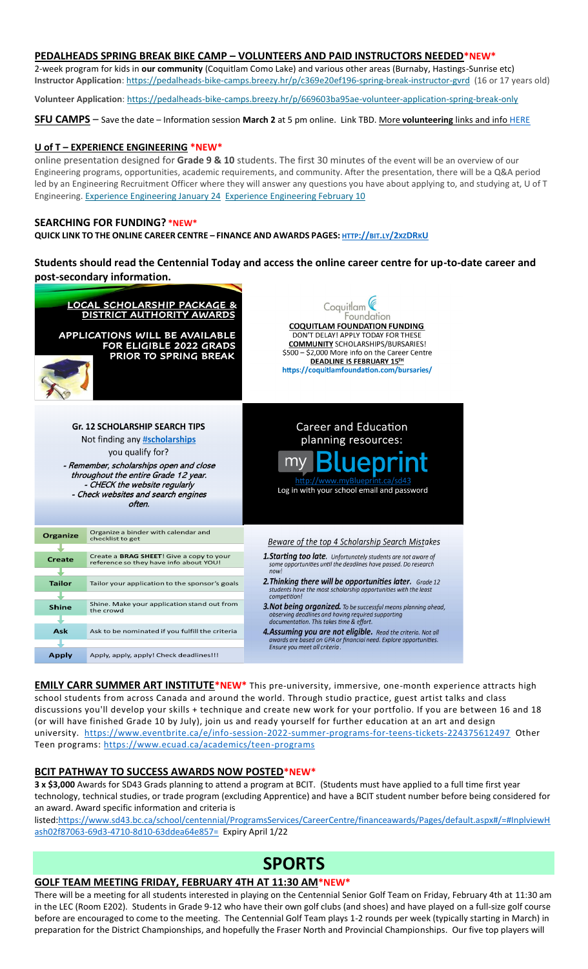# **PEDALHEADS SPRING BREAK BIKE CAMP – VOLUNTEERS AND PAID INSTRUCTORS NEEDED\*NEW\***

2-week program for kids in **our community** (Coquitlam Como Lake) and various other areas (Burnaby, Hastings-Sunrise etc) **Instructor Application**: <https://pedalheads-bike-camps.breezy.hr/p/c369e20ef196-spring-break-instructor-gvrd> (16 or 17 years old)

**Volunteer Application**: <https://pedalheads-bike-camps.breezy.hr/p/669603ba95ae-volunteer-application-spring-break-only>

**SFU CAMPS** – Save the date – Information session **March 2** at 5 pm online. Link TBD. More **volunteering** links and inf[o HERE](https://www.sd43.bc.ca/school/centennial/ProgramsServices/CareerCentre/experiences/Pages/default.aspx#/=)

# **U of T – EXPERIENCE ENGINEERING \*NEW\***

online presentation designed for **Grade 9 & 10** students. The first 30 minutes of the event will be an overview of our Engineering programs, opportunities, academic requirements, and community. After the presentation, there will be a Q&A period led by an Engineering Recruitment Officer where they will answer any questions you have about applying to, and studying at, U of T Engineering. [Experience Engineering January 24](https://mx.technolutions.net/ss/c/VpDhrCrvzjOrNk6AZ3TbHjFLbqWBZPhhofjteQ2YNx82CaUosH1dcVhwZYliQGg4LodzrCTUhYiBkw6Ko3NtJIHCxKsCheWwO4eDC-c9-uEgVXceg-A3u70J_fqxc4oC/3ii/MC36Lg_wRemt_1hhGMiWuw/h3/GjcAeo9QXoWr1XV6hrJZjEftlryhxpjcwjLmCThjNFw) [Experience Engineering February 10](https://mx.technolutions.net/ss/c/VpDhrCrvzjOrNk6AZ3TbHjFLbqWBZPhhofjteQ2YNx82CaUosH1dcVhwZYliQGg4OD9wTrVg10tpHQzkEA3IAd72RaWVObQIok9KwxoTNwyKXtLxiphIStvILtkkXXix/3ii/MC36Lg_wRemt_1hhGMiWuw/h4/4zI1pGYwxMYJjKOcYRi4jhaCYeMOs8e8RCafTdGIlso)

#### **SEARCHING FOR FUNDING? \*NEW\***

QUICK LINK TO THE ONLINE CAREER CENTRE - FINANCE AND AWARDS PAGES: [HTTP](http://bit.ly/2xzDRkU)://BIT.LY/2xzDRKU

# **Students should read the Centennial Today and access the online career centre for up-to-date career and post-secondary information.**

| LOCAL SCHOLARSHIP PACKAGE &<br>DISTRICT AUTHORITY AWARDS<br><b>APPLICATIONS WILL BE AVAILABLE</b><br>FOR ELIGIBLE 2022 GRADS<br>PRIOR TO SPRING BREAK                                                                                                           |                                                                                            | Coquitlam<br>Foundation<br><b>COQUITLAM FOUNDATION FUNDING</b><br>DON'T DELAY! APPLY TODAY FOR THESE<br><b>COMMUNITY SCHOLARSHIPS/BURSARIES!</b><br>\$500 - \$2,000 More info on the Career Centre<br>DEADLINE IS FEBRUARY 15TH<br>https://coquitlamfoundation.com/bursaries/ |
|-----------------------------------------------------------------------------------------------------------------------------------------------------------------------------------------------------------------------------------------------------------------|--------------------------------------------------------------------------------------------|-------------------------------------------------------------------------------------------------------------------------------------------------------------------------------------------------------------------------------------------------------------------------------|
| <b>Gr. 12 SCHOLARSHIP SEARCH TIPS</b><br>Not finding any #scholarships<br>you qualify for?<br>- Remember, scholarships open and close<br>throughout the entire Grade 12 year.<br>- CHECK the website regularly<br>- Check websites and search engines<br>often. |                                                                                            | <b>Career and Education</b><br>planning resources:<br>$my$ $R_1$<br>epr<br>http://www.myBlueprint.ca/sd43<br>Log in with your school email and password                                                                                                                       |
| <b>Organize</b>                                                                                                                                                                                                                                                 | Organize a binder with calendar and<br>checklist to get                                    | Beware of the top 4 Scholarship Search Mistakes                                                                                                                                                                                                                               |
| <b>Create</b>                                                                                                                                                                                                                                                   | Create a <b>BRAG SHEET!</b> Give a copy to your<br>reference so they have info about YOU!  | <b>1. Starting too late.</b> Unfortunately students are not aware of<br>some opportunities until the deadlines have passed. Do research<br>now!                                                                                                                               |
| <b>Tailor</b>                                                                                                                                                                                                                                                   | Tailor your application to the sponsor's goals                                             | <b>2. Thinking there will be opportunities later.</b> Grade 12<br>students have the most scholarship opportunities with the least<br>competition!                                                                                                                             |
| <b>Shine</b>                                                                                                                                                                                                                                                    | Shine. Make your application stand out from<br>the crowd                                   | <b>3. Not being organized.</b> To be successful means planning ahead,<br>observing deadlines and having required supporting<br>documentation. This takes time & effort.                                                                                                       |
| Ask<br><b>Apply</b>                                                                                                                                                                                                                                             | Ask to be nominated if you fulfill the criteria<br>Apply, apply, apply! Check deadlines!!! | 4. Assuming you are not eligible. Read the criteria. Not all<br>awards are based on GPA or financial need. Explore opportunities.<br>Ensure you meet all criteria.                                                                                                            |
|                                                                                                                                                                                                                                                                 |                                                                                            |                                                                                                                                                                                                                                                                               |

**EMILY CARR SUMMER ART INSTITUTE\*NEW\*** This pre-university, immersive, one-month experience attracts high school students from across Canada and around the world. Through studio practice, guest artist talks and class discussions you'll develop your skills + technique and create new work for your portfolio. If you are between 16 and 18 (or will have finished Grade 10 by July), join us and ready yourself for further education at an art and design university. <https://www.eventbrite.ca/e/info-session-2022-summer-programs-for-teens-tickets-224375612497> Other Teen programs:<https://www.ecuad.ca/academics/teen-programs>

# **BCIT PATHWAY TO SUCCESS AWARDS NOW POSTED\*NEW\***

**3 x \$3,000** Awards for SD43 Grads planning to attend a program at BCIT. (Students must have applied to a full time first year technology, technical studies, or trade program (excluding Apprentice) and have a BCIT student number before being considered for an award. Award specific information and criteria is

listed[:https://www.sd43.bc.ca/school/centennial/ProgramsServices/CareerCentre/financeawards/Pages/default.aspx#/=#InplviewH](https://www.sd43.bc.ca/school/centennial/ProgramsServices/CareerCentre/financeawards/Pages/default.aspx#/=#InplviewHash02f87063-69d3-4710-8d10-63ddea64e857=) [ash02f87063-69d3-4710-8d10-63ddea64e857=](https://www.sd43.bc.ca/school/centennial/ProgramsServices/CareerCentre/financeawards/Pages/default.aspx#/=#InplviewHash02f87063-69d3-4710-8d10-63ddea64e857=) Expiry April 1/22

# **SPORTS**

# **GOLF TEAM MEETING FRIDAY, FEBRUARY 4TH AT 11:30 AM\*NEW\***

There will be a meeting for all students interested in playing on the Centennial Senior Golf Team on Friday, February 4th at 11:30 am in the LEC (Room E202). Students in Grade 9-12 who have their own golf clubs (and shoes) and have played on a full-size golf course before are encouraged to come to the meeting. The Centennial Golf Team plays 1-2 rounds per week (typically starting in March) in preparation for the District Championships, and hopefully the Fraser North and Provincial Championships. Our five top players will